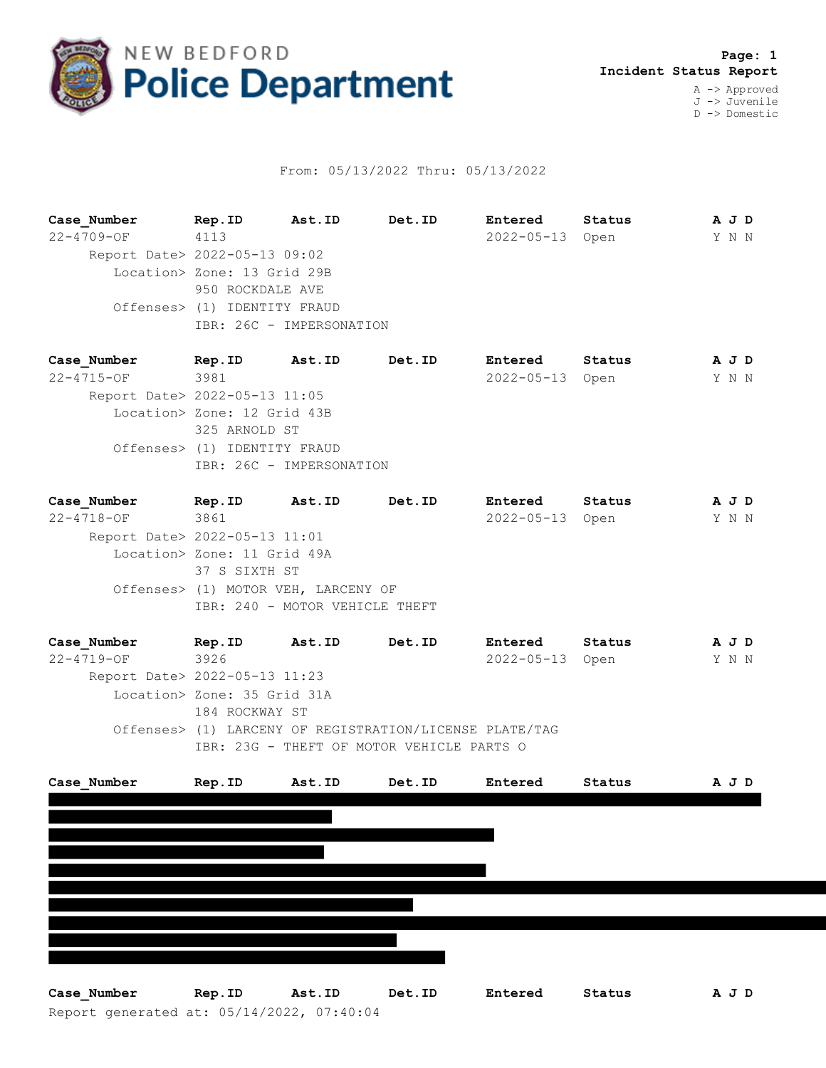

## From: 05/13/2022 Thru: 05/13/2022

**Case\_Number Rep.ID Ast.ID Det.ID Entered Status A J D** 22-4709-OF 4113 2022-05-13 Open Y N N Report Date> 2022-05-13 09:02 Location> Zone: 13 Grid 29B 950 ROCKDALE AVE Offenses> (1) IDENTITY FRAUD IBR: 26C - IMPERSONATION

**Case\_Number Rep.ID Ast.ID Det.ID Entered Status A J D** 22-4715-OF 3981 2022-05-13 Open Y N N Report Date> 2022-05-13 11:05 Location> Zone: 12 Grid 43B 325 ARNOLD ST Offenses> (1) IDENTITY FRAUD IBR: 26C - IMPERSONATION

**Case\_Number Rep.ID Ast.ID Det.ID Entered Status A J D** 22-4718-OF 3861 2022-05-13 Open Y N N Report Date> 2022-05-13 11:01 Location> Zone: 11 Grid 49A 37 S SIXTH ST Offenses> (1) MOTOR VEH, LARCENY OF IBR: 240 - MOTOR VEHICLE THEFT

**Case\_Number Rep.ID Ast.ID Det.ID Entered Status A J D** 22-4719-OF 3926 2022-05-13 Open Y N N Report Date> 2022-05-13 11:23 Location> Zone: 35 Grid 31A 184 ROCKWAY ST Offenses> (1) LARCENY OF REGISTRATION/LICENSE PLATE/TAG IBR: 23G - THEFT OF MOTOR VEHICLE PARTS O



Report generated at: 05/14/2022, 07:40:04 **Case\_Number Rep.ID Ast.ID Det.ID Entered Status A J D**